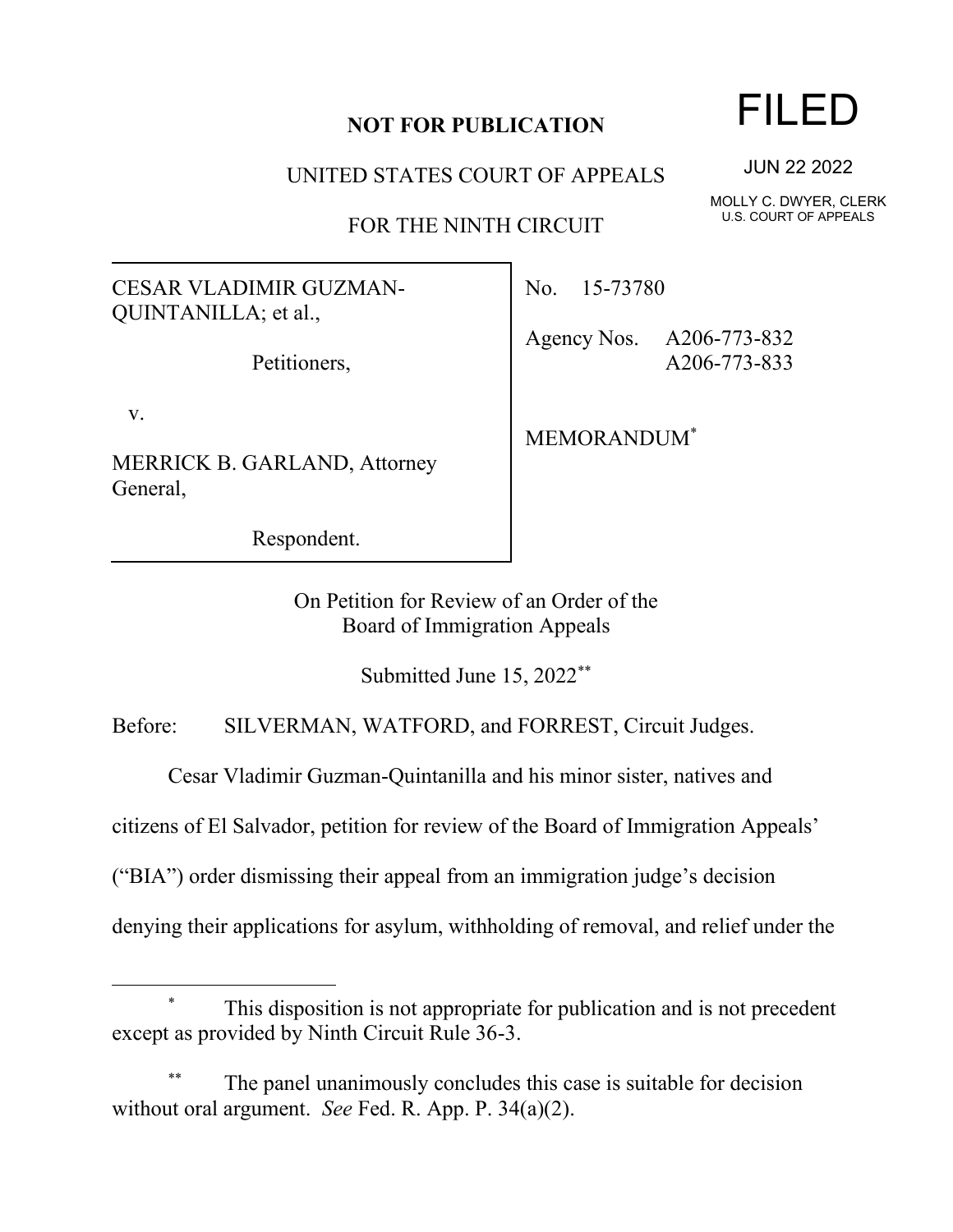## **NOT FOR PUBLICATION**

UNITED STATES COURT OF APPEALS

FOR THE NINTH CIRCUIT

## CESAR VLADIMIR GUZMAN-QUINTANILLA; et al.,

Petitioners,

v.

MERRICK B. GARLAND, Attorney General,

Respondent.

No. 15-73780

Agency Nos. A206-773-832 A206-773-833

MEMORANDUM\*

On Petition for Review of an Order of the Board of Immigration Appeals

Submitted June 15, 2022\*\*

Before: SILVERMAN, WATFORD, and FORREST, Circuit Judges.

Cesar Vladimir Guzman-Quintanilla and his minor sister, natives and

citizens of El Salvador, petition for review of the Board of Immigration Appeals'

("BIA") order dismissing their appeal from an immigration judge's decision

denying their applications for asylum, withholding of removal, and relief under the

## FILED

JUN 22 2022

MOLLY C. DWYER, CLERK U.S. COURT OF APPEALS

This disposition is not appropriate for publication and is not precedent except as provided by Ninth Circuit Rule 36-3.

The panel unanimously concludes this case is suitable for decision without oral argument. *See* Fed. R. App. P. 34(a)(2).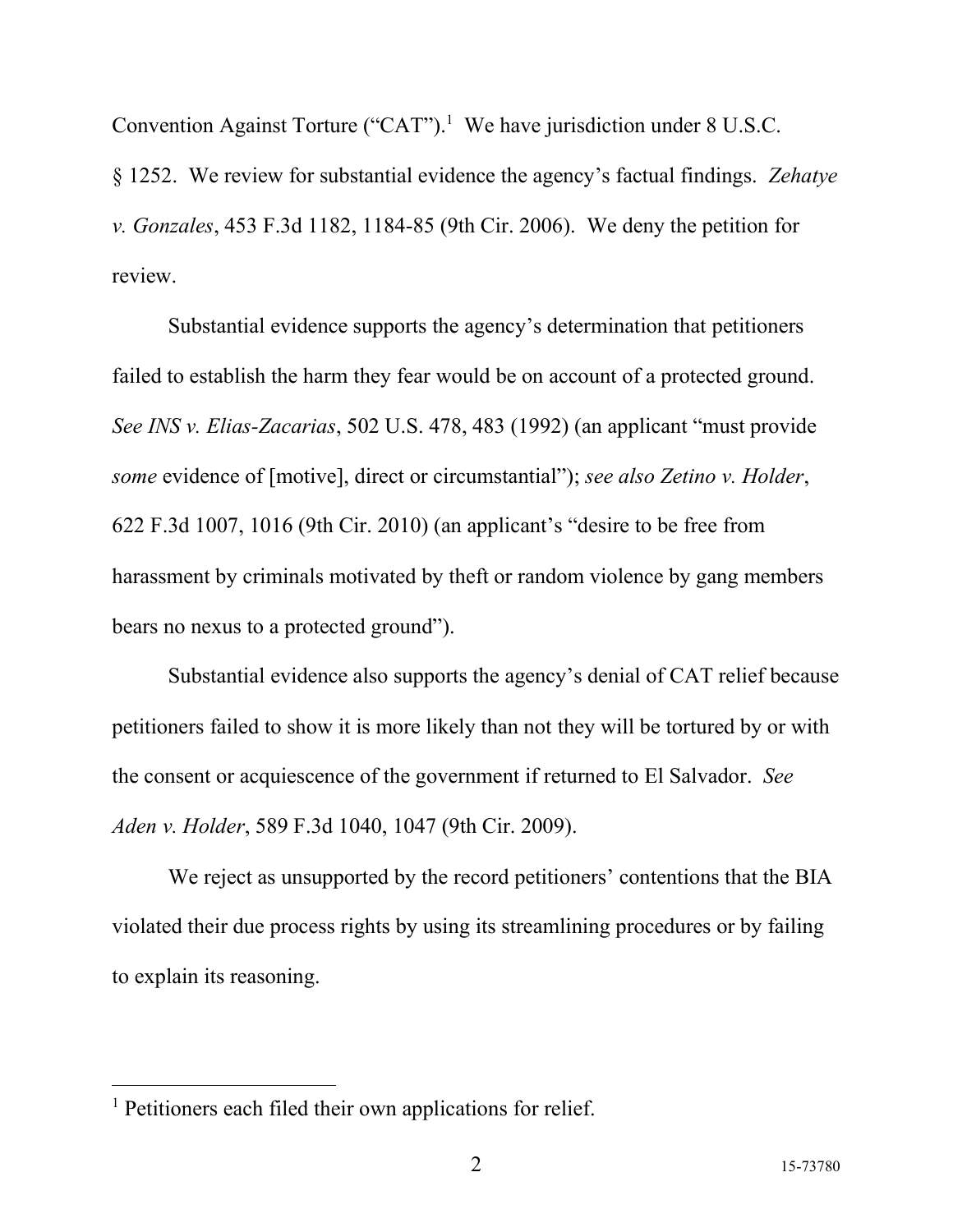Convention Against Torture ("CAT").<sup>1</sup> We have jurisdiction under  $8$  U.S.C.

§ 1252. We review for substantial evidence the agency's factual findings. *Zehatye v. Gonzales*, 453 F.3d 1182, 1184-85 (9th Cir. 2006). We deny the petition for review.

Substantial evidence supports the agency's determination that petitioners failed to establish the harm they fear would be on account of a protected ground. *See INS v. Elias-Zacarias*, 502 U.S. 478, 483 (1992) (an applicant "must provide *some* evidence of [motive], direct or circumstantial"); *see also Zetino v. Holder*, 622 F.3d 1007, 1016 (9th Cir. 2010) (an applicant's "desire to be free from harassment by criminals motivated by theft or random violence by gang members bears no nexus to a protected ground").

Substantial evidence also supports the agency's denial of CAT relief because petitioners failed to show it is more likely than not they will be tortured by or with the consent or acquiescence of the government if returned to El Salvador. *See Aden v. Holder*, 589 F.3d 1040, 1047 (9th Cir. 2009).

We reject as unsupported by the record petitioners' contentions that the BIA violated their due process rights by using its streamlining procedures or by failing to explain its reasoning.

<sup>&</sup>lt;sup>1</sup> Petitioners each filed their own applications for relief.